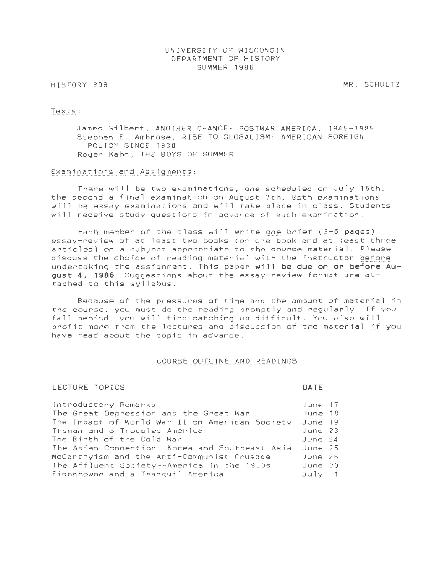# UNIVERSITY OF WISCONSIN DEPARTMENT OF HISTORY SUMMER 1986

# HISTORY 398

MR. SCHULTZ

#### Texts: ~"'''' '' ''''' 'u'"

James Gilbert, ANOTHER CHANCE: POSTWAR AMERICA, 1945-1985 Stephen E. Ambrose, RISE TO GLOBALISM: AMERICAN FOREIGN POLICY SINCE 1938 Roger Kahn, THE BOYS OF SUMMER

# Examinations and Assigments:

There will be two examinations, one scheduled on July 15th, the second a final examination on August 7th. Both examinations will be essay examinations and will take place in class. Students will receive study questions in advance of each examination.

Each member of the class will write one brief  $(3-6$  pages) essay-review of at least two books (or one book and at least three articles) on a subject appropriate to the course material. Please discuss the choice of reading material with the instructor before undertaking the assignment. This paper will **be due on or before August 4, 1986 .** Suggestions about the essay-review format are attached to this syllabus.

Because of the pressures of time and the amount of material in the course, you must do the reading promptly and regularly. If you fall behind, you will find catching-up difficult. You also will profit more from the lectures and discussion of the material if you have read about the topic in advance.

### COURSE OUTLINE AND READINGS

# LECTURE TOPICS

# **DATE**

| Introductory Remarks                            | June 17   |  |
|-------------------------------------------------|-----------|--|
| The Great Depression and the Great War          | June 18   |  |
| The Impact of World War II on American Society  | June 19   |  |
| Truman and a Troubled America                   | June 23   |  |
| The Birth of the Cold War                       | June 24   |  |
| The Asian Connection: Korea and Southeast Asia. | June 25   |  |
| McCarthyism and the Anti-Communist Crusade      | June 26   |  |
| The Affluent Society--America in the 1950s      | June 30   |  |
| Eisenhower and a Tranquil America               | $J$ ulv 1 |  |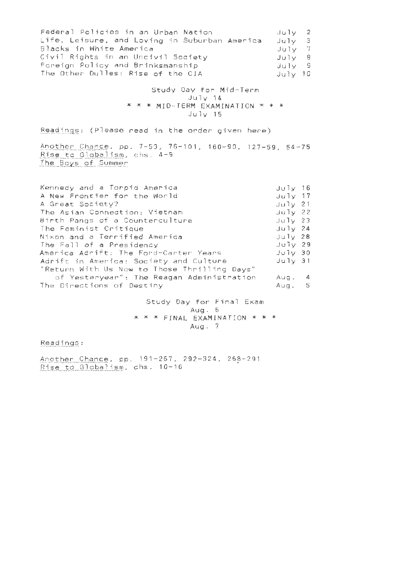| Federal Policies in an Urban Nation           | July 2  |  |
|-----------------------------------------------|---------|--|
| Life, Leisure, and Loving in Suburban America | July 3  |  |
| Blacks in White America                       | July 7  |  |
| Civil Rights in an Uncivil Society            | 3 VIUL  |  |
| Foreign Policy and Brinksmanship              | July 9  |  |
| The Other Dulles: Rise of the CIA             | Juiv 10 |  |

Study Day for Mid-Term  $J$ u 1 $y$  14 \* \* \* MID-TERM EXAMINATION \* \* \* July 15

Readings: (Please read in the order given here)

Another Chance, pp. 7-53, 76-101, 160-90, 127-59, 54-75 Rise to Globalism, chs. 4-9 The Boys of Summer

| Kennedy and a Torpid America                 | $Juj1y$ 16     |  |
|----------------------------------------------|----------------|--|
| A New Frontier for the World                 | $Jujy$ 17      |  |
| A Great Society?                             | $Ju \, \nu$ 21 |  |
| The Asian Connection: Vietnam                | $Jujy$ 22      |  |
| Birth Pangs of a Counterculture              | $Ju$ ] $v$ 23  |  |
| The Feminist Critique                        | $Ju1v$ 24      |  |
| Nixon and a Terrified America                | $Ju1v$ 28      |  |
| The Fall of a Presidency                     | $Ju$ ] $v$ 29  |  |
| America Adrift: The Ford-Carter Years        | July 30        |  |
| Adrift in America: Society and Culture       | July 31        |  |
| "Return With Us Now to Those Thrilling Days" |                |  |
| of Yesteryear": The Reagan Administration    | Aug. 4         |  |
| The Directions of Destiny                    | Aug. 5         |  |

Study Day for Final Exam Aug. 6 \* \* \* FINAL EXAMINATION \* \* \* Aug. 7

Readings:

Another Chance, pp. 191-257, 292-324, 268-291 Rise to Globalism, chs. 10-16